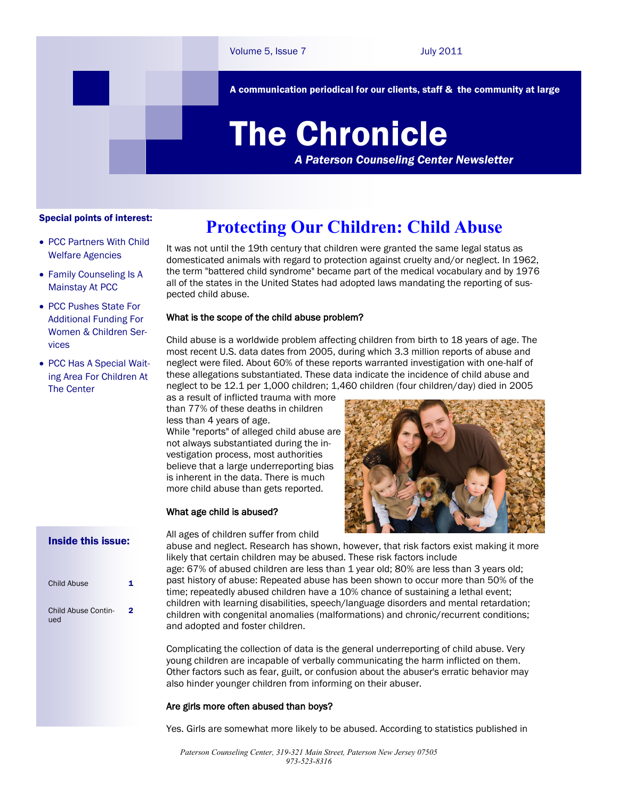A communication periodical for our clients, staff & the community at large

# The Chronicle

*A Paterson Counseling Center Newsletter*

#### Special points of interest:

- PCC Partners With Child Welfare Agencies
- Family Counseling Is A Mainstay At PCC
- PCC Pushes State For Additional Funding For Women & Children Services
- PCC Has A Special Waiting Area For Children At The Center

## **Protecting Our Children: Child Abuse**

It was not until the 19th century that children were granted the same legal status as domesticated animals with regard to protection against cruelty and/or neglect. In 1962, the term "battered child syndrome" became part of the medical vocabulary and by 1976 all of the states in the United States had adopted laws mandating the reporting of suspected child abuse.

#### What is the scope of the child abuse problem?

Child abuse is a worldwide problem affecting children from birth to 18 years of age. The most recent U.S. data dates from 2005, during which 3.3 million reports of abuse and neglect were filed. About 60% of these reports warranted investigation with one-half of these allegations substantiated. These data indicate the incidence of child abuse and neglect to be 12.1 per 1,000 children; 1,460 children (four children/day) died in 2005

as a result of inflicted trauma with more than 77% of these deaths in children less than 4 years of age. While "reports" of alleged child abuse are

not always substantiated during the investigation process, most authorities believe that a large underreporting bias is inherent in the data. There is much more child abuse than gets reported.

#### What age child is abused?

All ages of children suffer from child



### Inside this issue:

| Child Abuse                |   |
|----------------------------|---|
| Child Abuse Contin-<br>ued | 2 |

abuse and neglect. Research has shown, however, that risk factors exist making it more likely that certain children may be abused. These risk factors include age: 67% of abused children are less than 1 year old; 80% are less than 3 years old; past history of abuse: Repeated abuse has been shown to occur more than 50% of the time; repeatedly abused children have a 10% chance of sustaining a lethal event; children with learning disabilities, speech/language disorders and mental retardation; children with congenital anomalies (malformations) and chronic/recurrent conditions; and adopted and foster children.

Complicating the collection of data is the general underreporting of child abuse. Very young children are incapable of verbally communicating the harm inflicted on them. Other factors such as fear, guilt, or confusion about the abuser's erratic behavior may also hinder younger children from informing on their abuser.

#### Are girls more often abused than boys?

Yes. Girls are somewhat more likely to be abused. According to statistics published in